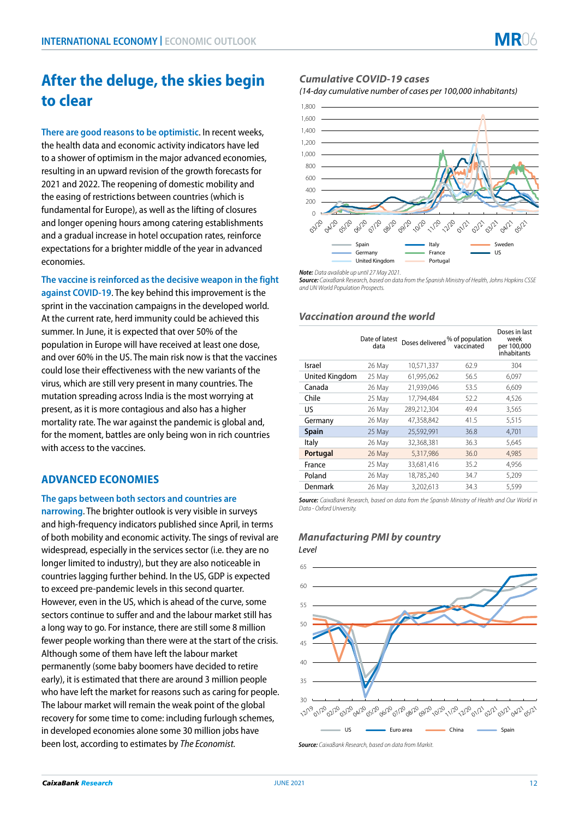# **After the deluge, the skies begin to clear**

**There are good reasons to be optimistic**. In recent weeks, the health data and economic activity indicators have led to a shower of optimism in the major advanced economies, resulting in an upward revision of the growth forecasts for 2021 and 2022. The reopening of domestic mobility and the easing of restrictions between countries (which is fundamental for Europe), as well as the lifting of closures and longer opening hours among catering establishments and a gradual increase in hotel occupation rates, reinforce expectations for a brighter middle of the year in advanced economies.

**The vaccine is reinforced as the decisive weapon in the fight against COVID-19**. The key behind this improvement is the sprint in the vaccination campaigns in the developed world. At the current rate, herd immunity could be achieved this summer. In June, it is expected that over 50% of the population in Europe will have received at least one dose, and over 60% in the US. The main risk now is that the vaccines could lose their effectiveness with the new variants of the virus, which are still very present in many countries. The mutation spreading across India is the most worrying at present, as it is more contagious and also has a higher mortality rate. The war against the pandemic is global and, for the moment, battles are only being won in rich countries with access to the vaccines.

# **ADVANCED ECONOMIES**

**The gaps between both sectors and countries are** 

**narrowing**. The brighter outlook is very visible in surveys and high-frequency indicators published since April, in terms of both mobility and economic activity. The sings of revival are widespread, especially in the services sector (i.e. they are no longer limited to industry), but they are also noticeable in countries lagging further behind. In the US, GDP is expected to exceed pre-pandemic levels in this second quarter. However, even in the US, which is ahead of the curve, some sectors continue to suffer and and the labour market still has a long way to go. For instance, there are still some 8 million fewer people working than there were at the start of the crisis. Although some of them have left the labour market permanently (some baby boomers have decided to retire early), it is estimated that there are around 3 million people who have left the market for reasons such as caring for people. The labour market will remain the weak point of the global recovery for some time to come: including furlough schemes, in developed economies alone some 30 million jobs have been lost, according to estimates by *The Economist.*

## *Cumulative COVID-19 cases*

*(14-day cumulative number of cases per 100,000 inhabitants)*



*Note: Data available up until 27 May 2021.*

*Source: CaixaBank Research, based on data from the Spanish Ministry of Health, Johns Hopkins CSSE and UN World Population Prospects.*

## *Vaccination around the world*

|                | Date of latest<br>data | Doses delivered % of population | vaccinated | Doses in last<br>week<br>per 100,000<br>inhabitants |
|----------------|------------------------|---------------------------------|------------|-----------------------------------------------------|
| Israel         | 26 May                 | 10,571,337                      | 62.9       | 304                                                 |
| United Kingdom | 25 May                 | 61,995,062                      | 56.5       | 6,097                                               |
| Canada         | 26 May                 | 21,939,046                      | 53.5       | 6,609                                               |
| Chile          | 25 May                 | 17.794.484                      | 52.2       | 4,526                                               |
| US             | 26 May                 | 289,212,304                     | 49.4       | 3,565                                               |
| Germany        | 26 May                 | 47,358,842                      | 41.5       | 5,515                                               |
| <b>Spain</b>   | 25 May                 | 25,592,991                      | 36.8       | 4,701                                               |
| Italy          | 26 May                 | 32,368,381                      | 36.3       | 5,645                                               |
| Portugal       | 26 May                 | 5,317,986                       | 36.0       | 4,985                                               |
| France         | 25 May                 | 33,681,416                      | 35.2       | 4,956                                               |
| Poland         | 26 May                 | 18,785,240                      | 34.7       | 5,209                                               |
| Denmark        | 26 May                 | 3,202,613                       | 34.3       | 5,599                                               |

*Source: CaixaBank Research, based on data from the Spanish Ministry of Health and Our World in Data - Oxford University.*

## *Manufacturing PMI by country*

*Level*



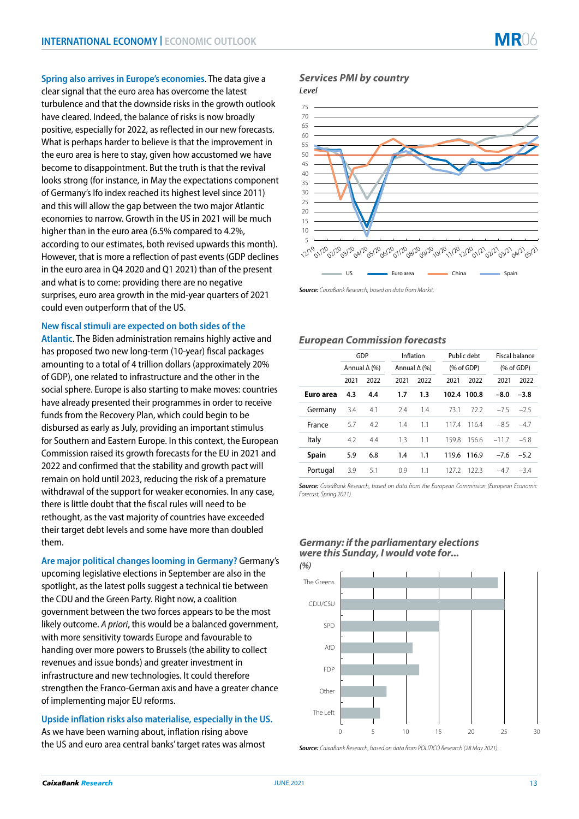**Spring also arrives in Europe's economies**. The data give a clear signal that the euro area has overcome the latest turbulence and that the downside risks in the growth outlook have cleared. Indeed, the balance of risks is now broadly positive, especially for 2022, as reflected in our new forecasts. What is perhaps harder to believe is that the improvement in the euro area is here to stay, given how accustomed we have become to disappointment. But the truth is that the revival looks strong (for instance, in May the expectations component of Germany's Ifo index reached its highest level since 2011) and this will allow the gap between the two major Atlantic economies to narrow. Growth in the US in 2021 will be much higher than in the euro area (6.5% compared to 4.2%, according to our estimates, both revised upwards this month). However, that is more a reflection of past events (GDP declines in the euro area in Q4 2020 and Q1 2021) than of the present and what is to come: providing there are no negative surprises, euro area growth in the mid-year quarters of 2021 could even outperform that of the US.

#### **New fiscal stimuli are expected on both sides of the**

**Atlantic**. The Biden administration remains highly active and has proposed two new long-term (10-year) fiscal packages amounting to a total of 4 trillion dollars (approximately 20% of GDP), one related to infrastructure and the other in the social sphere. Europe is also starting to make moves: countries have already presented their programmes in order to receive funds from the Recovery Plan, which could begin to be disbursed as early as July, providing an important stimulus for Southern and Eastern Europe. In this context, the European Commission raised its growth forecasts for the EU in 2021 and 2022 and confirmed that the stability and growth pact will remain on hold until 2023, reducing the risk of a premature withdrawal of the support for weaker economies. In any case, there is little doubt that the fiscal rules will need to be rethought, as the vast majority of countries have exceeded their target debt levels and some have more than doubled them.

**Are major political changes looming in Germany?** Germany's upcoming legislative elections in September are also in the spotlight, as the latest polls suggest a technical tie between the CDU and the Green Party. Right now, a coalition government between the two forces appears to be the most likely outcome. *A priori*, this would be a balanced government, with more sensitivity towards Europe and favourable to handing over more powers to Brussels (the ability to collect revenues and issue bonds) and greater investment in infrastructure and new technologies. It could therefore strengthen the Franco-German axis and have a greater chance of implementing major EU reforms.

**Upside inflation risks also materialise, especially in the US.** As we have been warning about, inflation rising above the US and euro area central banks' target rates was almost

# *Services PMI by country*

*Level*



*Source: CaixaBank Research, based on data from Markit.*

### *European Commission forecasts*

|              | GDP<br>Annual $\Delta$ (%) |      | Inflation<br>Annual $\Delta$ (%) |      | Public debt<br>% of GDP |       | <b>Fiscal balance</b><br>% of GDP |        |
|--------------|----------------------------|------|----------------------------------|------|-------------------------|-------|-----------------------------------|--------|
|              |                            |      |                                  |      |                         |       |                                   |        |
|              | 2021                       | 2022 | 2021                             | 2022 | 2021                    | 2022  | 2021                              | 2022   |
| Euro area    | 4.3                        | 4.4  | 1.7                              | 1.3  | 102.4                   | 100.8 | $-8.0$                            | $-3.8$ |
| Germany      | 3.4                        | 4.1  | 2.4                              | 1.4  | 73.1                    | 72.2  | $-75$                             | $-2.5$ |
| France       | 5.7                        | 4.2  | 1.4                              | 1.1  | 1174                    | 1164  | $-8.5$                            | $-4.7$ |
| Italy        | 4.2                        | 4.4  | 1.3                              | 1.1  | 159.8                   | 156.6 | $-11.7$                           | $-5.8$ |
| <b>Spain</b> | 5.9                        | 6.8  | 1.4                              | 1.1  | 119.6                   | 116.9 | $-7.6$                            | $-5.2$ |
| Portugal     | 3.9                        | 5.1  | 0.9                              | 1.1  | 127.2                   | 122.3 | $-4.7$                            | $-3.4$ |

*Source: CaixaBank Research, based on data from the European Commission (European Economic Forecast, Spring 2021).*

*Germany: if the parliamentary elections* 



*Source: CaixaBank Research, based on data from POLITICO Research (28 May 2021).*